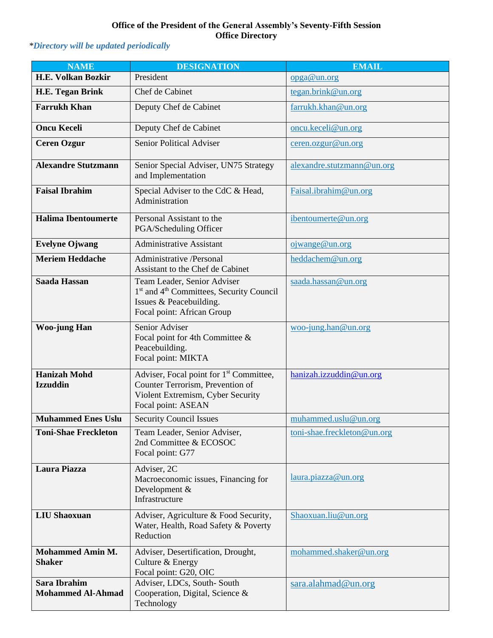## **Office of the President of the General Assembly's Seventy-Fifth Session Office Directory**

## *\*Directory will be updated periodically*

| <b>NAME</b>                              | <b>DESIGNATION</b>                                                                                                                                       | <b>EMAIL</b>                             |
|------------------------------------------|----------------------------------------------------------------------------------------------------------------------------------------------------------|------------------------------------------|
| <b>H.E. Volkan Bozkir</b>                | President                                                                                                                                                | opga@un.org                              |
| <b>H.E. Tegan Brink</b>                  | Chef de Cabinet                                                                                                                                          | tegan.brink@un.org                       |
| <b>Farrukh Khan</b>                      | Deputy Chef de Cabinet                                                                                                                                   | farrukh.khan@un.org                      |
| <b>Oncu Keceli</b>                       | Deputy Chef de Cabinet                                                                                                                                   | oncu.keceli@un.org                       |
| <b>Ceren Ozgur</b>                       | <b>Senior Political Adviser</b>                                                                                                                          | ceren.ozgur@un.org                       |
| <b>Alexandre Stutzmann</b>               | Senior Special Adviser, UN75 Strategy<br>and Implementation                                                                                              | alexandre.stutzmann@un.org               |
| <b>Faisal Ibrahim</b>                    | Special Adviser to the CdC & Head,<br>Administration                                                                                                     | Faisal.ibrahim@un.org                    |
| <b>Halima Ibentoumerte</b>               | Personal Assistant to the<br>PGA/Scheduling Officer                                                                                                      | ibentoumerte@un.org                      |
| <b>Evelyne Ojwang</b>                    | <b>Administrative Assistant</b>                                                                                                                          | ojwange@un.org                           |
| <b>Meriem Heddache</b>                   | <b>Administrative</b> /Personal<br>Assistant to the Chef de Cabinet                                                                                      | heddachem@un.org                         |
| <b>Saada Hassan</b>                      | Team Leader, Senior Adviser<br>1 <sup>st</sup> and 4 <sup>th</sup> Committees, Security Council<br>Issues & Peacebuilding.<br>Focal point: African Group | saada.hassan@un.org                      |
| <b>Woo-jung Han</b>                      | Senior Adviser<br>Focal point for 4th Committee &<br>Peacebuilding.<br>Focal point: MIKTA                                                                | $\underline{\text{woo-jung.han@un.org}}$ |
| <b>Hanizah Mohd</b><br><b>Izzuddin</b>   | Adviser, Focal point for 1 <sup>st</sup> Committee,<br>Counter Terrorism, Prevention of<br>Violent Extremism, Cyber Security<br>Focal point: ASEAN       | hanizah.izzuddin@un.org                  |
| <b>Muhammed Enes Uslu</b>                | <b>Security Council Issues</b>                                                                                                                           | muhammed.uslu@un.org                     |
| <b>Toni-Shae Freckleton</b>              | Team Leader, Senior Adviser,<br>2nd Committee & ECOSOC<br>Focal point: G77                                                                               | toni-shae.freckleton@un.org              |
| Laura Piazza                             | Adviser, 2C<br>Macroeconomic issues, Financing for<br>Development &<br>Infrastructure                                                                    | laura.piazza@un.org                      |
| <b>LIU Shaoxuan</b>                      | Adviser, Agriculture & Food Security,<br>Water, Health, Road Safety & Poverty<br>Reduction                                                               | Shaoxuan.liu@un.org                      |
| <b>Mohammed Amin M.</b><br><b>Shaker</b> | Adviser, Desertification, Drought,<br>Culture & Energy<br>Focal point: G20, OIC                                                                          | mohammed.shaker@un.org                   |
| Sara Ibrahim<br><b>Mohammed Al-Ahmad</b> | Adviser, LDCs, South-South<br>Cooperation, Digital, Science &<br>Technology                                                                              | sara.alahmad@un.org                      |